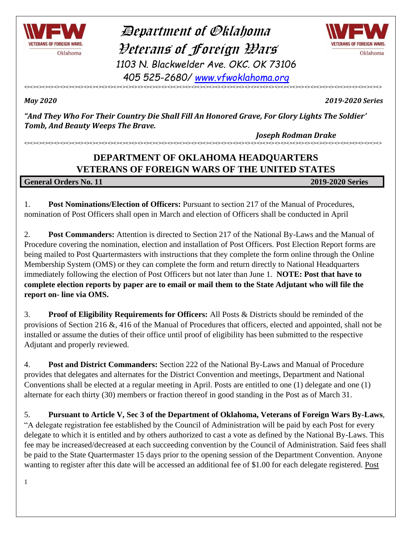

 Department of Oklahoma Veterans of Foreign Wars *1103 N. Blackwelder Ave. OKC. OK 73106 405 525-2680/ [www.vfwoklahoma.org](http://www.vfwoklahoma.org/)*



<><><><><><><><><><><><><><><><><><><><><><><><><><><><><><><><><><><><><><><><><><><><><><><><><><><><><><><><><><><><>

*May 2020 2019-2020 Series*

*"And They Who For Their Country Die Shall Fill An Honored Grave, For Glory Lights The Soldier' Tomb, And Beauty Weeps The Brave.* 

 *Joseph Rodman Drake*

### **DEPARTMENT OF OKLAHOMA HEADQUARTERS VETERANS OF FOREIGN WARS OF THE UNITED STATES**

<><><><><><><><><><><><><><><><><><><><><><><><><><><><><><><><><><><><><><><><><><><><><><><><><><><><><><><><><><><><>

**General Orders No. 11 2019-2020 Series**

1. **Post Nominations/Election of Officers:** Pursuant to section 217 of the Manual of Procedures, nomination of Post Officers shall open in March and election of Officers shall be conducted in April

2. **Post Commanders:** Attention is directed to Section 217 of the National By-Laws and the Manual of Procedure covering the nomination, election and installation of Post Officers. Post Election Report forms are being mailed to Post Quartermasters with instructions that they complete the form online through the Online Membership System (OMS) or they can complete the form and return directly to National Headquarters immediately following the election of Post Officers but not later than June 1. **NOTE: Post that have to complete election reports by paper are to email or mail them to the State Adjutant who will file the report on- line via OMS.**

3. **Proof of Eligibility Requirements for Officers:** All Posts & Districts should be reminded of the provisions of Section 216 &, 416 of the Manual of Procedures that officers, elected and appointed, shall not be installed or assume the duties of their office until proof of eligibility has been submitted to the respective Adjutant and properly reviewed.

4. **Post and District Commanders:** Section 222 of the National By-Laws and Manual of Procedure provides that delegates and alternates for the District Convention and meetings, Department and National Conventions shall be elected at a regular meeting in April. Posts are entitled to one (1) delegate and one (1) alternate for each thirty (30) members or fraction thereof in good standing in the Post as of March 31.

5. **Pursuant to Article V, Sec 3 of the Department of Oklahoma, Veterans of Foreign Wars By-Laws**, "A delegate registration fee established by the Council of Administration will be paid by each Post for every delegate to which it is entitled and by others authorized to cast a vote as defined by the National By-Laws. This fee may be increased/decreased at each succeeding convention by the Council of Administration. Said fees shall be paid to the State Quartermaster 15 days prior to the opening session of the Department Convention. Anyone wanting to register after this date will be accessed an additional fee of \$1.00 for each delegate registered. Post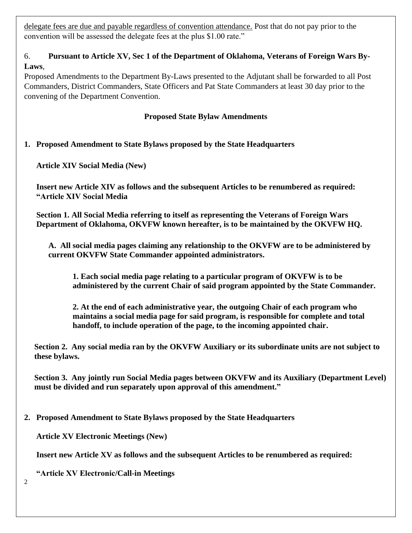delegate fees are due and payable regardless of convention attendance. Post that do not pay prior to the convention will be assessed the delegate fees at the plus \$1.00 rate."

### 6. **Pursuant to Article XV, Sec 1 of the Department of Oklahoma, Veterans of Foreign Wars By-Laws**,

Proposed Amendments to the Department By-Laws presented to the Adjutant shall be forwarded to all Post Commanders, District Commanders, State Officers and Pat State Commanders at least 30 day prior to the convening of the Department Convention.

### **Proposed State Bylaw Amendments**

### **1. Proposed Amendment to State Bylaws proposed by the State Headquarters**

**Article XIV Social Media (New)**

**Insert new Article XIV as follows and the subsequent Articles to be renumbered as required: "Article XIV Social Media**

**Section 1. All Social Media referring to itself as representing the Veterans of Foreign Wars Department of Oklahoma, OKVFW known hereafter, is to be maintained by the OKVFW HQ.**

**A. All social media pages claiming any relationship to the OKVFW are to be administered by current OKVFW State Commander appointed administrators.**

**1. Each social media page relating to a particular program of OKVFW is to be administered by the current Chair of said program appointed by the State Commander.**

**2. At the end of each administrative year, the outgoing Chair of each program who maintains a social media page for said program, is responsible for complete and total handoff, to include operation of the page, to the incoming appointed chair.**

**Section 2. Any social media ran by the OKVFW Auxiliary or its subordinate units are not subject to these bylaws.**

**Section 3. Any jointly run Social Media pages between OKVFW and its Auxiliary (Department Level) must be divided and run separately upon approval of this amendment."**

**2. Proposed Amendment to State Bylaws proposed by the State Headquarters**

**Article XV Electronic Meetings (New)**

**Insert new Article XV as follows and the subsequent Articles to be renumbered as required:**

**"Article XV Electronic/Call-in Meetings**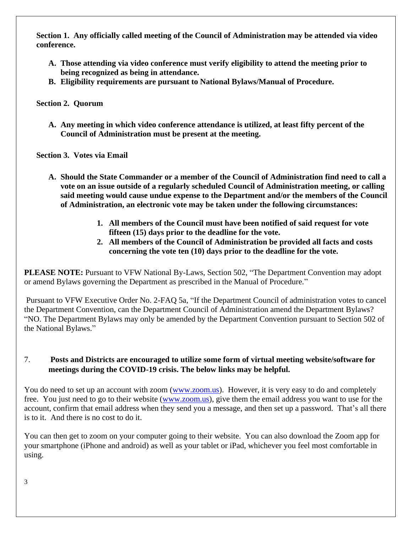**Section 1. Any officially called meeting of the Council of Administration may be attended via video conference.**

- **A. Those attending via video conference must verify eligibility to attend the meeting prior to being recognized as being in attendance.**
- **B. Eligibility requirements are pursuant to National Bylaws/Manual of Procedure.**

#### **Section 2. Quorum**

**A. Any meeting in which video conference attendance is utilized, at least fifty percent of the Council of Administration must be present at the meeting.**

 **Section 3. Votes via Email**

- **A. Should the State Commander or a member of the Council of Administration find need to call a vote on an issue outside of a regularly scheduled Council of Administration meeting, or calling said meeting would cause undue expense to the Department and/or the members of the Council of Administration, an electronic vote may be taken under the following circumstances:**
	- **1. All members of the Council must have been notified of said request for vote fifteen (15) days prior to the deadline for the vote.**
	- **2. All members of the Council of Administration be provided all facts and costs concerning the vote ten (10) days prior to the deadline for the vote.**

**PLEASE NOTE:** Pursuant to VFW National By-Laws, Section 502, "The Department Convention may adopt or amend Bylaws governing the Department as prescribed in the Manual of Procedure."

Pursuant to VFW Executive Order No. 2-FAQ 5a, "If the Department Council of administration votes to cancel the Department Convention, can the Department Council of Administration amend the Department Bylaws? "NO. The Department Bylaws may only be amended by the Department Convention pursuant to Section 502 of the National Bylaws."

### 7. **Posts and Districts are encouraged to utilize some form of virtual meeting website/software for meetings during the COVID-19 crisis. The below links may be helpful.**

You do need to set up an account with zoom [\(www.zoom.us\)](http://www.zoom.us/). However, it is very easy to do and completely free. You just need to go to their website [\(www.zoom.us\)](http://www.zoom.us/), give them the email address you want to use for the account, confirm that email address when they send you a message, and then set up a password. That's all there is to it. And there is no cost to do it.

You can then get to zoom on your computer going to their website. You can also download the Zoom app for your smartphone (iPhone and android) as well as your tablet or iPad, whichever you feel most comfortable in using.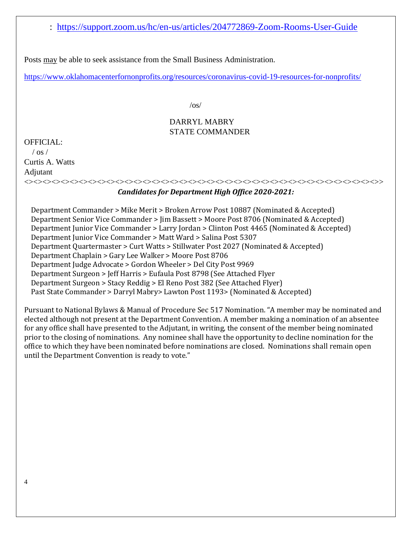: <https://support.zoom.us/hc/en-us/articles/204772869-Zoom-Rooms-User-Guide>

Posts may be able to seek assistance from the Small Business Administration.

<https://www.oklahomacenterfornonprofits.org/resources/coronavirus-covid-19-resources-for-nonprofits/>

 $\sqrt{os}/$ 

#### DARRYL MABRY STATE COMMANDER

OFFICIAL:  $/$  os  $/$ 

Curtis A. Watts Adjutant

### *Candidates for Department High Office 2020-2021:*

 Department Commander > Mike Merit > Broken Arrow Post 10887 (Nominated & Accepted) Department Senior Vice Commander > Jim Bassett > Moore Post 8706 (Nominated & Accepted) Department Junior Vice Commander > Larry Jordan > Clinton Post 4465 (Nominated & Accepted) Department Junior Vice Commander > Matt Ward > Salina Post 5307 Department Quartermaster > Curt Watts > Stillwater Post 2027 (Nominated & Accepted) Department Chaplain > Gary Lee Walker > Moore Post 8706 Department Judge Advocate > Gordon Wheeler > Del City Post 9969 Department Surgeon > Jeff Harris > Eufaula Post 8798 (See Attached Flyer Department Surgeon > Stacy Reddig > El Reno Post 382 (See Attached Flyer) Past State Commander > Darryl Mabry> Lawton Post 1193> (Nominated & Accepted)

<><><><><><><><><><><><><><><><><><><><><><><><><><><><><><><><><><><><><><><>>

Pursuant to National Bylaws & Manual of Procedure Sec 517 Nomination. "A member may be nominated and elected although not present at the Department Convention. A member making a nomination of an absentee for any office shall have presented to the Adjutant, in writing, the consent of the member being nominated prior to the closing of nominations. Any nominee shall have the opportunity to decline nomination for the office to which they have been nominated before nominations are closed. Nominations shall remain open until the Department Convention is ready to vote."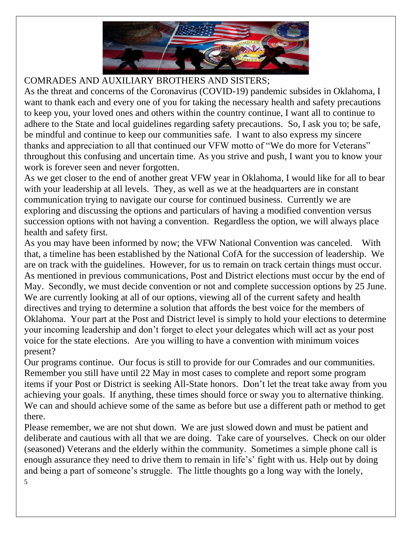

### COMRADES AND AUXILIARY BROTHERS AND SISTERS;

As the threat and concerns of the Coronavirus (COVID-19) pandemic subsides in Oklahoma, I want to thank each and every one of you for taking the necessary health and safety precautions to keep you, your loved ones and others within the country continue, I want all to continue to adhere to the State and local guidelines regarding safety precautions. So, I ask you to; be safe, be mindful and continue to keep our communities safe. I want to also express my sincere thanks and appreciation to all that continued our VFW motto of "We do more for Veterans" throughout this confusing and uncertain time. As you strive and push, I want you to know your work is forever seen and never forgotten.

As we get closer to the end of another great VFW year in Oklahoma, I would like for all to bear with your leadership at all levels. They, as well as we at the headquarters are in constant communication trying to navigate our course for continued business. Currently we are exploring and discussing the options and particulars of having a modified convention versus succession options with not having a convention. Regardless the option, we will always place health and safety first.

As you may have been informed by now; the VFW National Convention was canceled. With that, a timeline has been established by the National CofA for the succession of leadership. We are on track with the guidelines. However, for us to remain on track certain things must occur. As mentioned in previous communications, Post and District elections must occur by the end of May. Secondly, we must decide convention or not and complete succession options by 25 June. We are currently looking at all of our options, viewing all of the current safety and health directives and trying to determine a solution that affords the best voice for the members of Oklahoma. Your part at the Post and District level is simply to hold your elections to determine your incoming leadership and don't forget to elect your delegates which will act as your post voice for the state elections. Are you willing to have a convention with minimum voices present?

Our programs continue. Our focus is still to provide for our Comrades and our communities. Remember you still have until 22 May in most cases to complete and report some program items if your Post or District is seeking All-State honors. Don't let the treat take away from you achieving your goals. If anything, these times should force or sway you to alternative thinking. We can and should achieve some of the same as before but use a different path or method to get there.

Please remember, we are not shut down. We are just slowed down and must be patient and deliberate and cautious with all that we are doing. Take care of yourselves. Check on our older (seasoned) Veterans and the elderly within the community. Sometimes a simple phone call is enough assurance they need to drive them to remain in life's' fight with us. Help out by doing and being a part of someone's struggle. The little thoughts go a long way with the lonely,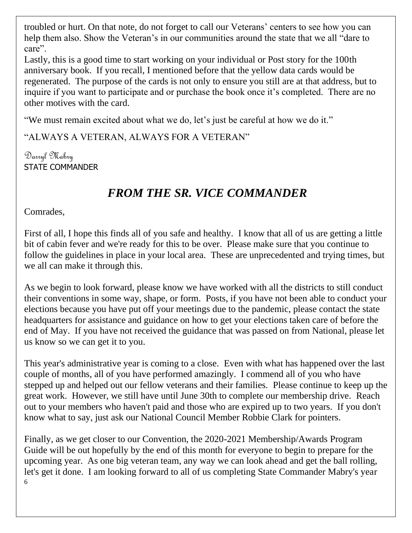troubled or hurt. On that note, do not forget to call our Veterans' centers to see how you can help them also. Show the Veteran's in our communities around the state that we all "dare to care".

Lastly, this is a good time to start working on your individual or Post story for the 100th anniversary book. If you recall, I mentioned before that the yellow data cards would be regenerated. The purpose of the cards is not only to ensure you still are at that address, but to inquire if you want to participate and or purchase the book once it's completed. There are no other motives with the card.

"We must remain excited about what we do, let's just be careful at how we do it."

"ALWAYS A VETERAN, ALWAYS FOR A VETERAN"

Darryl Mabry STATE COMMANDER

### *FROM THE SR. VICE COMMANDER*

Comrades,

First of all, I hope this finds all of you safe and healthy. I know that all of us are getting a little bit of cabin fever and we're ready for this to be over. Please make sure that you continue to follow the guidelines in place in your local area. These are unprecedented and trying times, but we all can make it through this.

As we begin to look forward, please know we have worked with all the districts to still conduct their conventions in some way, shape, or form. Posts, if you have not been able to conduct your elections because you have put off your meetings due to the pandemic, please contact the state headquarters for assistance and guidance on how to get your elections taken care of before the end of May. If you have not received the guidance that was passed on from National, please let us know so we can get it to you.

This year's administrative year is coming to a close. Even with what has happened over the last couple of months, all of you have performed amazingly. I commend all of you who have stepped up and helped out our fellow veterans and their families. Please continue to keep up the great work. However, we still have until June 30th to complete our membership drive. Reach out to your members who haven't paid and those who are expired up to two years. If you don't know what to say, just ask our National Council Member Robbie Clark for pointers.

6 Finally, as we get closer to our Convention, the 2020-2021 Membership/Awards Program Guide will be out hopefully by the end of this month for everyone to begin to prepare for the upcoming year. As one big veteran team, any way we can look ahead and get the ball rolling, let's get it done. I am looking forward to all of us completing State Commander Mabry's year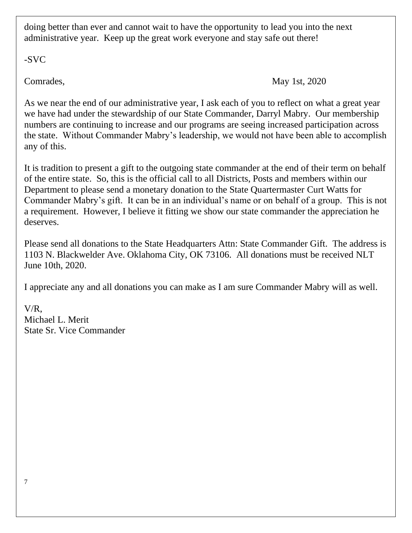doing better than ever and cannot wait to have the opportunity to lead you into the next administrative year. Keep up the great work everyone and stay safe out there!

-SVC

Comrades, May 1st, 2020

As we near the end of our administrative year, I ask each of you to reflect on what a great year we have had under the stewardship of our State Commander, Darryl Mabry. Our membership numbers are continuing to increase and our programs are seeing increased participation across the state. Without Commander Mabry's leadership, we would not have been able to accomplish any of this.

It is tradition to present a gift to the outgoing state commander at the end of their term on behalf of the entire state. So, this is the official call to all Districts, Posts and members within our Department to please send a monetary donation to the State Quartermaster Curt Watts for Commander Mabry's gift. It can be in an individual's name or on behalf of a group. This is not a requirement. However, I believe it fitting we show our state commander the appreciation he deserves.

Please send all donations to the State Headquarters Attn: State Commander Gift. The address is 1103 N. Blackwelder Ave. Oklahoma City, OK 73106. All donations must be received NLT June 10th, 2020.

I appreciate any and all donations you can make as I am sure Commander Mabry will as well.

V/R, Michael L. Merit State Sr. Vice Commander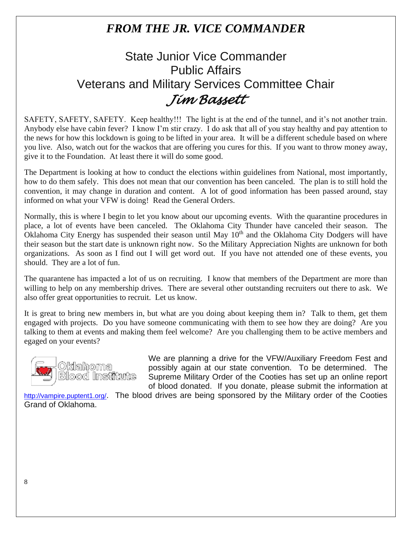### *FROM THE JR. VICE COMMANDER*

## State Junior Vice Commander Public Affairs Veterans and Military Services Committee Chair *Jim Bassett*

SAFETY, SAFETY, SAFETY. Keep healthy!!! The light is at the end of the tunnel, and it's not another train. Anybody else have cabin fever? I know I'm stir crazy. I do ask that all of you stay healthy and pay attention to the news for how this lockdown is going to be lifted in your area. It will be a different schedule based on where you live. Also, watch out for the wackos that are offering you cures for this. If you want to throw money away, give it to the Foundation. At least there it will do some good.

The Department is looking at how to conduct the elections within guidelines from National, most importantly, how to do them safely. This does not mean that our convention has been canceled. The plan is to still hold the convention, it may change in duration and content. A lot of good information has been passed around, stay informed on what your VFW is doing! Read the General Orders.

Normally, this is where I begin to let you know about our upcoming events. With the quarantine procedures in place, a lot of events have been canceled. The Oklahoma City Thunder have canceled their season. The Oklahoma City Energy has suspended their season until May 10<sup>th</sup> and the Oklahoma City Dodgers will have their season but the start date is unknown right now. So the Military Appreciation Nights are unknown for both organizations. As soon as I find out I will get word out. If you have not attended one of these events, you should. They are a lot of fun.

The quarantene has impacted a lot of us on recruiting. I know that members of the Department are more than willing to help on any membership drives. There are several other outstanding recruiters out there to ask. We also offer great opportunities to recruit. Let us know.

It is great to bring new members in, but what are you doing about keeping them in? Talk to them, get them engaged with projects. Do you have someone communicating with them to see how they are doing? Are you talking to them at events and making them feel welcome? Are you challenging them to be active members and egaged on your events?



We are planning a drive for the VFW/Auxiliary Freedom Fest and possibly again at our state convention. To be determined. The Supreme Military Order of the Cooties has set up an online report of blood donated. If you donate, please submit the information at

<http://vampire.puptent1.org/>. The blood drives are being sponsored by the Military order of the Cooties Grand of Oklahoma.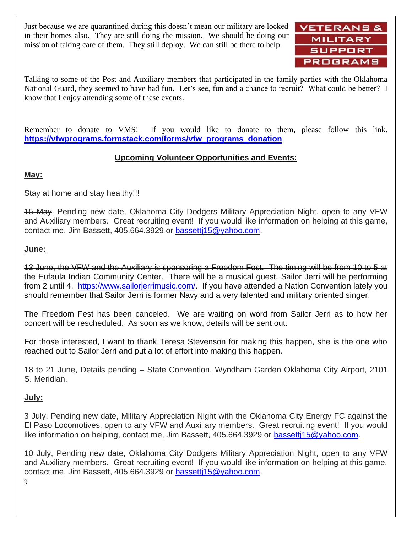Just because we are quarantined during this doesn't mean our military are locked in their homes also. They are still doing the mission. We should be doing our mission of taking care of them. They still deploy. We can still be there to help.



Talking to some of the Post and Auxiliary members that participated in the family parties with the Oklahoma National Guard, they seemed to have had fun. Let's see, fun and a chance to recruit? What could be better? I know that I enjoy attending some of these events.

Remember to donate to VMS! If you would like to donate to them, please follow this link. **[https://vfwprograms.formstack.com/forms/vfw\\_programs\\_donation](https://vfwprograms.formstack.com/forms/vfw_programs_donation)**

### **Upcoming Volunteer Opportunities and Events:**

#### **May:**

Stay at home and stay healthy!!!

15 May, Pending new date, Oklahoma City Dodgers Military Appreciation Night, open to any VFW and Auxiliary members. Great recruiting event! If you would like information on helping at this game, contact me, Jim Bassett, 405.664.3929 or [bassettj15@yahoo.com.](mailto:bassettj15@yahoo.com)

#### **June:**

13 June, the VFW and the Auxiliary is sponsoring a Freedom Fest. The timing will be from 10 to 5 at the Eufaula Indian Community Center. There will be a musical guest, Sailor Jerri will be performing from 2 until 4. [https://www.sailorjerrimusic.com/.](https://www.sailorjerrimusic.com/) If you have attended a Nation Convention lately you should remember that Sailor Jerri is former Navy and a very talented and military oriented singer.

The Freedom Fest has been canceled. We are waiting on word from Sailor Jerri as to how her concert will be rescheduled. As soon as we know, details will be sent out.

For those interested, I want to thank Teresa Stevenson for making this happen, she is the one who reached out to Sailor Jerri and put a lot of effort into making this happen.

18 to 21 June, Details pending – State Convention, Wyndham Garden Oklahoma City Airport, 2101 S. Meridian.

### **July:**

3 July, Pending new date, Military Appreciation Night with the Oklahoma City Energy FC against the El Paso Locomotives, open to any VFW and Auxiliary members. Great recruiting event! If you would like information on helping, contact me, Jim Bassett, 405.664.3929 or bassetti 15@yahoo.com.

10 July, Pending new date, Oklahoma City Dodgers Military Appreciation Night, open to any VFW and Auxiliary members. Great recruiting event! If you would like information on helping at this game, contact me, Jim Bassett, 405.664.3929 or [bassettj15@yahoo.com.](mailto:bassettj15@yahoo.com)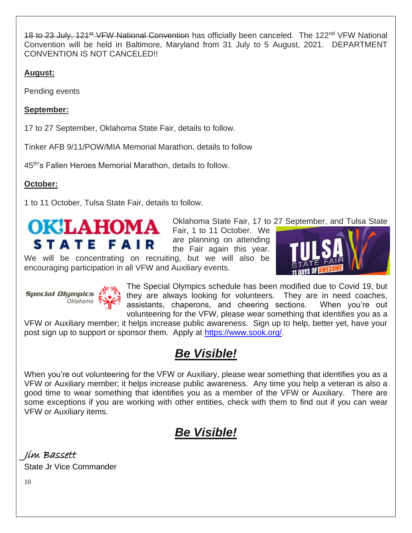18 to 23 July, 121<sup>st</sup> VFW National Convention has officially been canceled. The 122<sup>nd</sup> VFW National Convention will be held in Baltimore, Maryland from 31 July to 5 August, 2021. DEPARTMENT CONVENTION IS NOT CANCELED!!

### **August:**

Pending events

### **September:**

17 to 27 September, Oklahoma State Fair, details to follow.

Tinker AFB 9/11/POW/MIA Memorial Marathon, details to follow

45th's Fallen Heroes Memorial Marathon, details to follow.

### **October:**

1 to 11 October, Tulsa State Fair, details to follow.



Oklahoma State Fair, 17 to 27 September, and Tulsa State are planning on attending the Fair again this year.

We will be concentrating on recruiting, but we will also be encouraging participation in all VFW and Auxiliary events.



**Special Olympics A** -<br>Oklahoma



The Special Olympics schedule has been modified due to Covid 19, but they are always looking for volunteers. They are in need coaches, assistants, chaperons, and cheering sections. When you're out volunteering for the VFW, please wear something that identifies you as a

VFW or Auxiliary member; it helps increase public awareness. Sign up to help, better yet, have your post sign up to support or sponsor them. Apply at [https://www.sook.org/.](https://www.sook.org/)

# *Be Visible!*

When you're out volunteering for the VFW or Auxiliary, please wear something that identifies you as a VFW or Auxiliary member; it helps increase public awareness. Any time you help a veteran is also a good time to wear something that identifies you as a member of the VFW or Auxiliary. There are some exceptions if you are working with other entities, check with them to find out if you can wear VFW or Auxiliary items.

# *Be Visible!*

Jim Bassett State Jr Vice Commander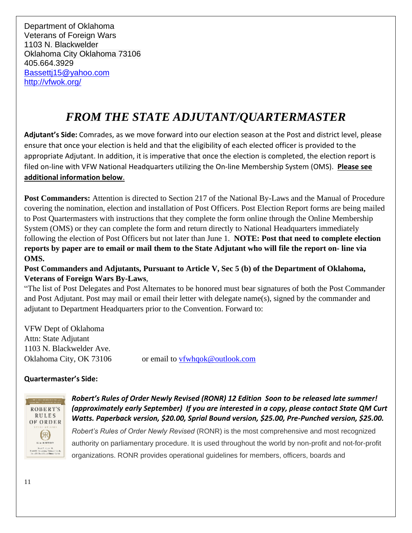Department of Oklahoma Veterans of Foreign Wars 1103 N. Blackwelder Oklahoma City Oklahoma 73106 405.664.3929 [Bassettj15@yahoo.com](mailto:Bassettj15@yahoo.com) <http://vfwok.org/>

## *FROM THE STATE ADJUTANT/QUARTERMASTER*

**Adjutant's Side:** Comrades, as we move forward into our election season at the Post and district level, please ensure that once your election is held and that the eligibility of each elected officer is provided to the appropriate Adjutant. In addition, it is imperative that once the election is completed, the election report is filed on-line with VFW National Headquarters utilizing the On-line Membership System (OMS). **Please see additional information below**.

**Post Commanders:** Attention is directed to Section 217 of the National By-Laws and the Manual of Procedure covering the nomination, election and installation of Post Officers. Post Election Report forms are being mailed to Post Quartermasters with instructions that they complete the form online through the Online Membership System (OMS) or they can complete the form and return directly to National Headquarters immediately following the election of Post Officers but not later than June 1. **NOTE: Post that need to complete election reports by paper are to email or mail them to the State Adjutant who will file the report on- line via OMS.**

**Post Commanders and Adjutants, Pursuant to Article V, Sec 5 (b) of the Department of Oklahoma, Veterans of Foreign Wars By-Laws**,

"The list of Post Delegates and Post Alternates to be honored must bear signatures of both the Post Commander and Post Adjutant. Post may mail or email their letter with delegate name(s), signed by the commander and adjutant to Department Headquarters prior to the Convention. Forward to:

VFW Dept of Oklahoma Attn: State Adjutant 1103 N. Blackwelder Ave. Oklahoma City, OK 73106 or email to [vfwhqok@outlook.com](mailto:vfwhqok@outlook.com)

### **Quartermaster's Side:**



*Robert's Rules of Order Newly Revised (RONR) 12 Edition Soon to be released late summer! (approximately early September) If you are interested in a copy, please contact State QM Curt Watts. Paperback version, \$20.00, Sprial Bound version, \$25.00, Pre-Punched version, \$25.00.* 

*Robert's Rules of Order Newly Revised* (RONR) is the most comprehensive and most recognized authority on parliamentary procedure. It is used throughout the world by non-profit and not-for-profit organizations. RONR provides operational guidelines for members, officers, boards and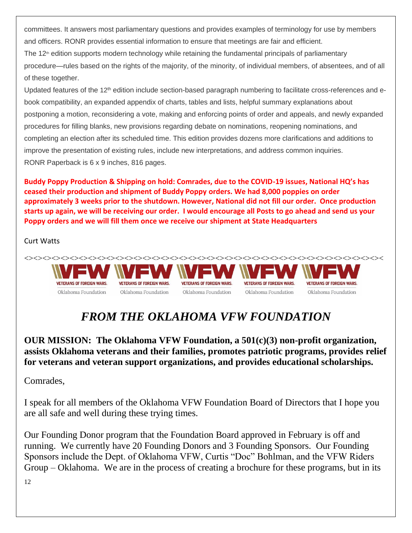committees. It answers most parliamentary questions and provides examples of terminology for use by members and officers. RONR provides essential information to ensure that meetings are fair and efficient.

The 12<sup>th</sup> edition supports modern technology while retaining the fundamental principals of parliamentary procedure—rules based on the rights of the majority, of the minority, of individual members, of absentees, and of all of these together.

Updated features of the 12<sup>th</sup> edition include section-based paragraph numbering to facilitate cross-references and ebook compatibility, an expanded appendix of charts, tables and lists, helpful summary explanations about postponing a motion, reconsidering a vote, making and enforcing points of order and appeals, and newly expanded procedures for filling blanks, new provisions regarding debate on nominations, reopening nominations, and completing an election after its scheduled time. This edition provides dozens more clarifications and additions to improve the presentation of existing rules, include new interpretations, and address common inquiries. RONR Paperback is 6 x 9 inches, 816 pages.

**Buddy Poppy Production & Shipping on hold: Comrades, due to the COVID-19 issues, National HQ's has ceased their production and shipment of Buddy Poppy orders. We had 8,000 poppies on order approximately 3 weeks prior to the shutdown. However, National did not fill our order. Once production starts up again, we will be receiving our order. I would encourage all Posts to go ahead and send us your Poppy orders and we will fill them once we receive our shipment at State Headquarters**

Curt Watts



## *FROM THE OKLAHOMA VFW FOUNDATION*

**OUR MISSION: The Oklahoma VFW Foundation, a 501(c)(3) non-profit organization, assists Oklahoma veterans and their families, promotes patriotic programs, provides relief for veterans and veteran support organizations, and provides educational scholarships.**

Comrades,

I speak for all members of the Oklahoma VFW Foundation Board of Directors that I hope you are all safe and well during these trying times.

Our Founding Donor program that the Foundation Board approved in February is off and running. We currently have 20 Founding Donors and 3 Founding Sponsors. Our Founding Sponsors include the Dept. of Oklahoma VFW, Curtis "Doc" Bohlman, and the VFW Riders Group – Oklahoma. We are in the process of creating a brochure for these programs, but in its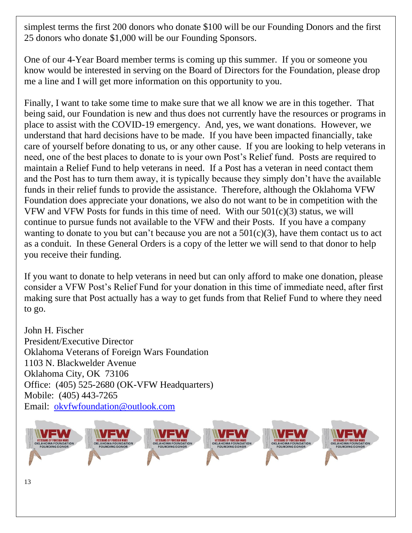simplest terms the first 200 donors who donate \$100 will be our Founding Donors and the first 25 donors who donate \$1,000 will be our Founding Sponsors.

One of our 4-Year Board member terms is coming up this summer. If you or someone you know would be interested in serving on the Board of Directors for the Foundation, please drop me a line and I will get more information on this opportunity to you.

Finally, I want to take some time to make sure that we all know we are in this together. That being said, our Foundation is new and thus does not currently have the resources or programs in place to assist with the COVID-19 emergency. And, yes, we want donations. However, we understand that hard decisions have to be made. If you have been impacted financially, take care of yourself before donating to us, or any other cause. If you are looking to help veterans in need, one of the best places to donate to is your own Post's Relief fund. Posts are required to maintain a Relief Fund to help veterans in need. If a Post has a veteran in need contact them and the Post has to turn them away, it is typically because they simply don't have the available funds in their relief funds to provide the assistance. Therefore, although the Oklahoma VFW Foundation does appreciate your donations, we also do not want to be in competition with the VFW and VFW Posts for funds in this time of need. With our  $501(c)(3)$  status, we will continue to pursue funds not available to the VFW and their Posts. If you have a company wanting to donate to you but can't because you are not a  $501(c)(3)$ , have them contact us to act as a conduit. In these General Orders is a copy of the letter we will send to that donor to help you receive their funding.

If you want to donate to help veterans in need but can only afford to make one donation, please consider a VFW Post's Relief Fund for your donation in this time of immediate need, after first making sure that Post actually has a way to get funds from that Relief Fund to where they need to go.

John H. Fischer President/Executive Director Oklahoma Veterans of Foreign Wars Foundation 1103 N. Blackwelder Avenue Oklahoma City, OK 73106 Office: (405) 525-2680 (OK-VFW Headquarters) Mobile: (405) 443-7265 Email: [okvfwfoundation@outlook.com](mailto:okvfwfoundation@outlook.com)

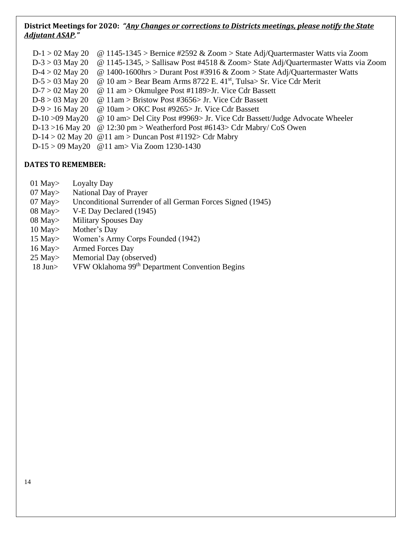#### **District Meetings for 2020:** *"Any Changes or corrections to Districts meetings, please notify the State Adjutant ASAP."*

| $D-1 > 02$ May 20 | @ 1145-1345 > Bernice #2592 & Zoom > State Adj/Quartermaster Watts via Zoom       |
|-------------------|-----------------------------------------------------------------------------------|
| $D-3 > 03$ May 20 | @ 1145-1345, > Sallisaw Post #4518 & Zoom> State Adj/Quartermaster Watts via Zoom |
| $D-4 > 02$ May 20 | @ 1400-1600hrs > Durant Post #3916 & Zoom > State Adj/Quartermaster Watts         |
| $D-5 > 03$ May 20 | @ 10 am > Bear Beam Arms 8722 E. $41st$ , Tulsa> Sr. Vice Cdr Merit               |
| $D-7 > 02$ May 20 | $@ 11 am > Okmulgee Post #1189 > Jr. Vice Cdr Bassett$                            |
| $D-8 > 03$ May 20 | @ 11am > Bristow Post #3656> Jr. Vice Cdr Bassett                                 |
| $D-9 > 16$ May 20 | $\omega$ 10am > OKC Post #9265> Jr. Vice Cdr Bassett                              |
| $D-10 > 09$ May20 | @ 10 am> Del City Post #9969> Jr. Vice Cdr Bassett/Judge Advocate Wheeler         |
| D-13 > 16 May 20  | $\omega$ 12:30 pm > Weatherford Post #6143> Cdr Mabry/ CoS Owen                   |
|                   | D-14 > 02 May 20 $\omega$ 11 am > Duncan Post #1192> Cdr Mabry                    |
|                   | D-15 > 09 May20 @ 11 am > Via Zoom 1230-1430                                      |

#### **DATES TO REMEMBER:**

- 01 May> Loyalty Day
- 07 May> National Day of Prayer
- 07 May > Unconditional Surrender of all German Forces Signed (1945)<br>08 May > V-E Day Declared (1945)
- 08 May> V-E Day Declared (1945)<br>08 May> Military Spouses Day
- Military Spouses Day
- 10 May> Mother's Day
- 15 May> Women's Army Corps Founded (1942)
- 
- 16 May> Armed Forces Day<br>25 May> Memorial Day (obs Memorial Day (observed)
- 18 Jun> VFW Oklahoma 99<sup>th</sup> Department Convention Begins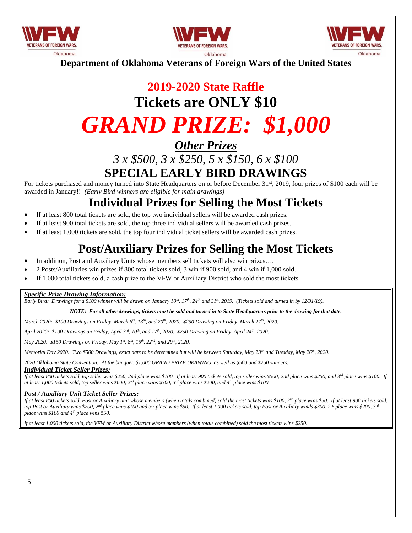





**Department of Oklahoma Veterans of Foreign Wars of the United States**

# **2019-2020 State Raffle Tickets are ONLY \$10** *GRAND PRIZE: \$1,000*

### *Other Prizes*

### *3 x \$500, 3 x \$250, 5 x \$150, 6 x \$100* **SPECIAL EARLY BIRD DRAWINGS**

For tickets purchased and money turned into State Headquarters on or before December 31<sup>st</sup>, 2019, four prizes of \$100 each will be awarded in January!! *(Early Bird winners are eligible for main drawings)*

### **Individual Prizes for Selling the Most Tickets**

- If at least 800 total tickets are sold, the top two individual sellers will be awarded cash prizes.
- If at least 900 total tickets are sold, the top three individual sellers will be awarded cash prizes.
- If at least 1,000 tickets are sold, the top four individual ticket sellers will be awarded cash prizes.

### **Post/Auxiliary Prizes for Selling the Most Tickets**

- In addition, Post and Auxiliary Units whose members sell tickets will also win prizes...
- 2 Posts/Auxiliaries win prizes if 800 total tickets sold, 3 win if 900 sold, and 4 win if 1,000 sold.
- If 1,000 total tickets sold, a cash prize to the VFW or Auxiliary District who sold the most tickets.

#### *Specific Prize Drawing Information:*

*Early Bird: Drawings for a \$100 winner will be drawn on January 10th, 17th, 24th and 31st, 2019. (Tickets sold and turned in by 12/31/19).*

#### *NOTE: For all other drawings, tickets must be sold and turned in to State Headquarters prior to the drawing for that date.*

*March 2020: \$100 Drawings on Friday, March 6th, 13th, and 20th, 2020. \$250 Drawing on Friday, March 27th, 2020.*

*April 2020: \$100 Drawings on Friday, April 3rd, 10th, and 17th, 2020. \$250 Drawing on Friday, April 24th, 2020.*

*May 2020: \$150 Drawings on Friday, May 1st, 8th, 15th, 22nd, and 29th, 2020.*

*Memorial Day 2020: Two \$500 Drawings, exact date to be determined but will be between Saturday, May 23rd and Tuesday, May 26th, 2020.*

*2020 Oklahoma State Convention: At the banquet, \$1,000 GRAND PRIZE DRAWING, as well as \$500 and \$250 winners.*

#### *Individual Ticket Seller Prizes:*

*If at least 800 tickets sold, top seller wins \$250, 2nd place wins \$100. If at least 900 tickets sold, top seller wins \$500, 2nd place wins \$250, and 3rd place wins \$100. If at least 1,000 tickets sold, top seller wins \$600, 2nd place wins \$300, 3rd place wins \$200, and 4th place wins \$100.*

#### *Post / Auxiliary Unit Ticket Seller Prizes:*

*If at least 800 tickets sold, Post or Auxiliary unit whose members (when totals combined) sold the most tickets wins \$100, 2nd place wins \$50. If at least 900 tickets sold, top Post or Auxiliary wins \$200, 2nd place wins \$100 and 3rd place wins \$50. If at least 1,000 tickets sold, top Post or Auxiliary winds \$300, 2nd place wins \$200, 3rd place wins \$100 and 4th place wins \$50.*

*If at least 1,000 tickets sold, the VFW or Auxiliary District whose members (when totals combined) sold the most tickets wins \$250.*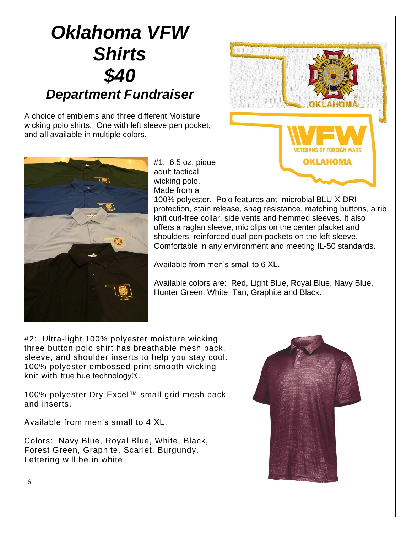# *Oklahoma VFW Shirts \$40 Department Fundraiser*

A choice of emblems and three different Moisture wicking polo shirts. One with left sleeve pen pocket, and all available in multiple colors.





#1: 6.5 oz. pique adult tactical wicking polo. Made from a

100% polyester. Polo features anti-microbial BLU-X-DRI protection, stain release, snag resistance, matching buttons, a rib knit curl-free collar, side vents and hemmed sleeves. It also offers a raglan sleeve, mic clips on the center placket and shoulders, reinforced dual pen pockets on the left sleeve. Comfortable in any environment and meeting IL-50 standards.

Available from men's small to 6 XL.

Available colors are: Red, Light Blue, Royal Blue, Navy Blue, Hunter Green, White, Tan, Graphite and Black.

#2: Ultra-light 100% polyester moisture wicking three button polo shirt has breathable mesh back, sleeve, and shoulder inserts to help you stay cool. 100% polyester embossed print smooth wicking knit with true hue technology®.

100% polyester Dry-Excel™ small grid mesh back and inserts.

Available from men's small to 4 XL.

Colors: Navy Blue, Royal Blue, White, Black, Forest Green, Graphite, Scarlet, Burgundy. Lettering will be in white.